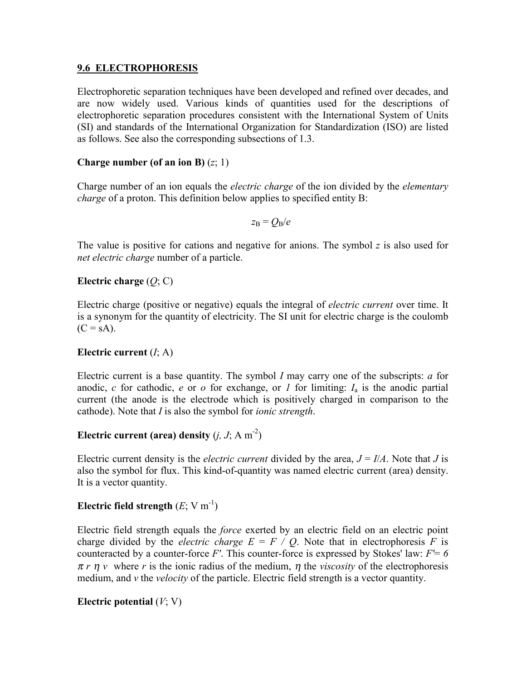### **9.6 ELECTROPHORESIS**

Electrophoretic separation techniques have been developed and refined over decades, and are now widely used. Various kinds of quantities used for the descriptions of electrophoretic separation procedures consistent with the International System of Units (SI) and standards of the International Organization for Standardization (ISO) are listed as follows. See also the corresponding subsections of 1.3.

### **Charge number (of an ion B)** (*z*; 1)

Charge number of an ion equals the *electric charge* of the ion divided by the *elementary charge* of a proton. This definition below applies to specified entity B:

 $z_{\rm B} = Q_{\rm B}/e$ 

The value is positive for cations and negative for anions. The symbol *z* is also used for *net electric charge* number of a particle.

### **Electric charge** (*Q*; C)

Electric charge (positive or negative) equals the integral of *electric current* over time. It is a synonym for the quantity of electricity. The SI unit for electric charge is the coulomb  $(C = sA)$ .

#### **Electric current** (*I*; A)

Electric current is a base quantity. The symbol *I* may carry one of the subscripts: *a* for anodic,  $c$  for cathodic,  $e$  or  $o$  for exchange, or  $I$  for limiting:  $I_a$  is the anodic partial current (the anode is the electrode which is positively charged in comparison to the cathode). Note that *I* is also the symbol for *ionic strength*.

# **Electric current (area) density**  $(i, J; A m<sup>-2</sup>)$

Electric current density is the *electric current* divided by the area,  $J = I/A$ . Note that *J* is also the symbol for flux. This kind-of-quantity was named electric current (area) density. It is a vector quantity.

## **Electric field strength**  $(E; V m^{-1})$

Electric field strength equals the *force* exerted by an electric field on an electric point charge divided by the *electric charge*  $E = F / Q$ . Note that in electrophoresis *F* is counteracted by a counter-force *F'*. This counter-force is expressed by Stokes' law: *F'*= *6*   $\pi r \eta v$  where *r* is the ionic radius of the medium,  $\eta$  the *viscosity* of the electrophoresis medium, and *v* the *velocity* of the particle. Electric field strength is a vector quantity.

## **Electric potential** (*V*; V)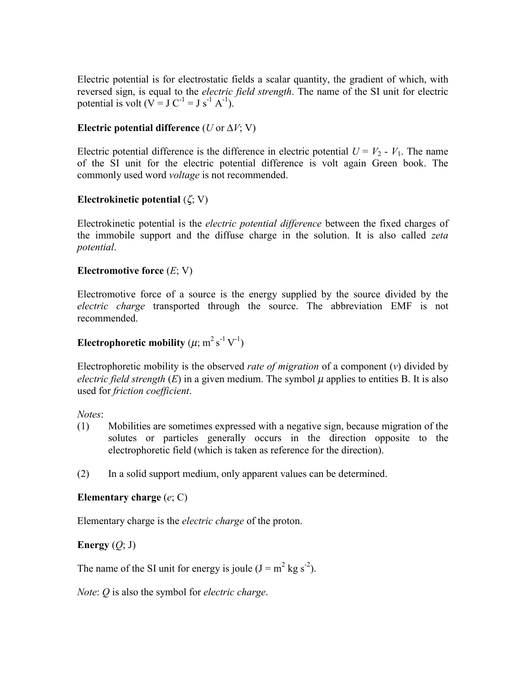Electric potential is for electrostatic fields a scalar quantity, the gradient of which, with reversed sign, is equal to the *electric field strength*. The name of the SI unit for electric potential is volt  $(V = J C^{-1} = J s^{-1} A^{-1}$ ).

### **Electric potential difference** ( $U$  or  $\Delta V$ ; V)

Electric potential difference is the difference in electric potential  $U = V_2 - V_1$ . The name of the SI unit for the electric potential difference is volt again Green book. The commonly used word *voltage* is not recommended.

### **Electrokinetic potential** (ζ; V)

Electrokinetic potential is the *electric potential difference* between the fixed charges of the immobile support and the diffuse charge in the solution. It is also called *zeta potential*.

#### **Electromotive force** (*E*; V)

Electromotive force of a source is the energy supplied by the source divided by the *electric charge* transported through the source. The abbreviation EMF is not recommended.

# **Electrophoretic mobility**  $(\mu; m^2 s^{-1} V^{-1})$

Electrophoretic mobility is the observed *rate of migration* of a component (*v*) divided by *electric field strength*  $(E)$  in a given medium. The symbol  $\mu$  applies to entities B. It is also used for *friction coefficient*.

*Notes*:

- (1) Mobilities are sometimes expressed with a negative sign, because migration of the solutes or particles generally occurs in the direction opposite to the electrophoretic field (which is taken as reference for the direction).
- (2) In a solid support medium, only apparent values can be determined.

#### **Elementary charge** (*e*; C)

Elementary charge is the *electric charge* of the proton.

## **Energy**  $(Q; J)$

The name of the SI unit for energy is joule  $(J = m^2 kg s^2)$ .

*Note*: *Q* is also the symbol for *electric charge*.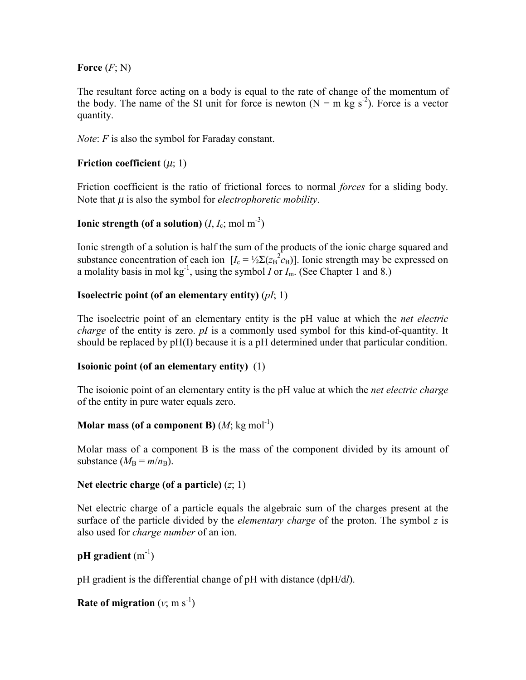## **Force** (*F*; N)

The resultant force acting on a body is equal to the rate of change of the momentum of the body. The name of the SI unit for force is newton  $(N = m \text{ kg s}^{-2})$ . Force is a vector quantity.

*Note*: *F* is also the symbol for Faraday constant.

# **Friction coefficient**  $(\mu; 1)$

Friction coefficient is the ratio of frictional forces to normal *forces* for a sliding body. Note that  $\mu$  is also the symbol for *electrophoretic mobility*.

# **Ionic strength (of a solution)**  $(I, I_c; \text{mol m}^{-3})$

Ionic strength of a solution is half the sum of the products of the ionic charge squared and substance concentration of each ion  $[I_c = \frac{1}{2} \Sigma (z_B^2 \epsilon_B)]$ . Ionic strength may be expressed on a molality basis in mol kg<sup>-1</sup>, using the symbol *I* or  $I_m$ . (See Chapter 1 and 8.)

# **Isoelectric point (of an elementary entity)** (*pI*; 1)

The isoelectric point of an elementary entity is the pH value at which the *net electric charge* of the entity is zero. *pI* is a commonly used symbol for this kind-of-quantity. It should be replaced by pH(I) because it is a pH determined under that particular condition.

## **Isoionic point (of an elementary entity)** (1)

The isoionic point of an elementary entity is the pH value at which the *net electric charge* of the entity in pure water equals zero.

## **Molar mass (of a component B)**  $(M; kg \text{ mol}^{-1})$

Molar mass of a component B is the mass of the component divided by its amount of substance  $(M_{\rm B} = m/n_{\rm B})$ .

## **Net electric charge (of a particle)** (*z*; 1)

Net electric charge of a particle equals the algebraic sum of the charges present at the surface of the particle divided by the *elementary charge* of the proton. The symbol *z* is also used for *charge number* of an ion.

## **pH** gradient  $(m^{-1})$

pH gradient is the differential change of pH with distance (dpH/d*l*).

```
Rate of migration (v; m s<sup>-1</sup>)
```